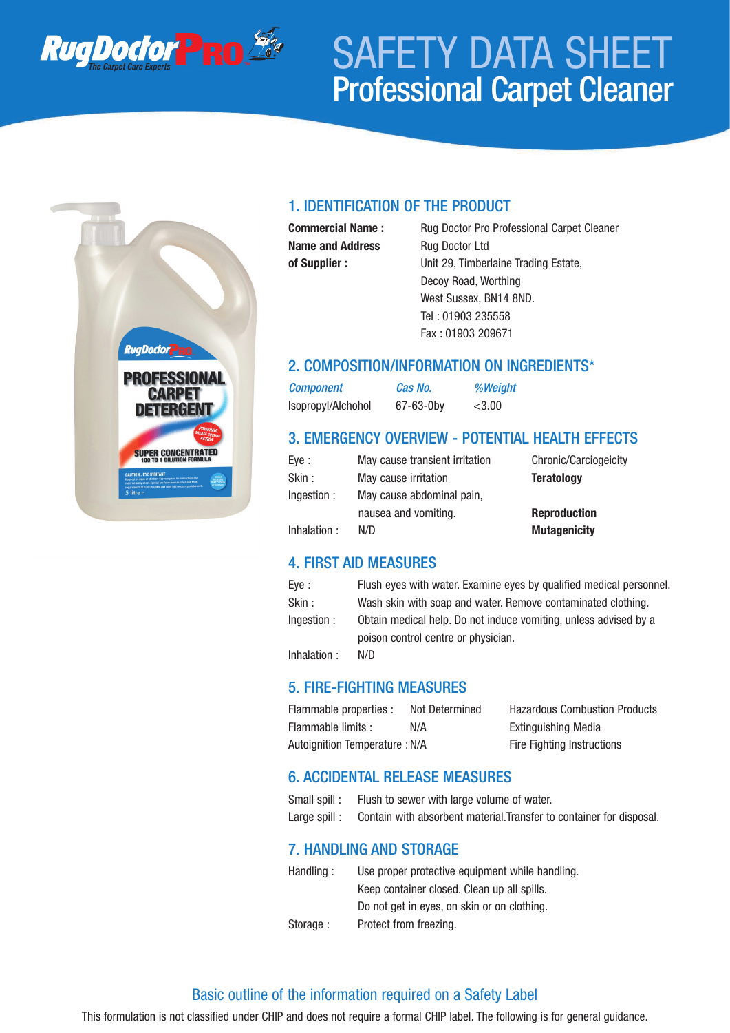

# SAFETY DATA SHEET Professional Carpet Cleaner



## 1. IDENTIFICATION OF THE PRODUCT

**Name and Address** Rug Doctor Ltd

**Commercial Name :** Rug Doctor Pro Professional Carpet Cleaner **of Supplier :** Unit 29, Timberlaine Trading Estate, Decoy Road, Worthing West Sussex, BN14 8ND. Tel : 01903 235558 Fax : 01903 209671

#### 2. COMPOSITION/INFORMATION ON INGREDIENTS\*

*Component Cas No. %Weight* Isopropyl/Alchohol 67-63-0by <3.00

## 3. EMERGENCY OVERVIEW - POTENTIAL HEALTH EFFECTS

| Eye :       | May cause transient irritation | Chronic/Carciogeicity |
|-------------|--------------------------------|-----------------------|
| Skin :      | May cause irritation           | <b>Teratology</b>     |
| Ingestion : | May cause abdominal pain,      |                       |
|             | nausea and vomiting.           | <b>Reproduction</b>   |
| Inhalation: | N/D                            | <b>Mutagenicity</b>   |

## 4. FIRST AID MEASURES

| Eye :        | Flush eyes with water. Examine eyes by qualified medical personnel. |
|--------------|---------------------------------------------------------------------|
| Skin :       | Wash skin with soap and water. Remove contaminated clothing.        |
| Ingestion :  | Obtain medical help. Do not induce vomiting, unless advised by a    |
|              | poison control centre or physician.                                 |
| Inhalation : | N/D                                                                 |

## 5. FIRE-FIGHTING MEASURES

| Flammable properties :               | Not Determined |
|--------------------------------------|----------------|
| Flammable limits :                   | N/A            |
| <b>Autoignition Temperature: N/A</b> |                |

Hazardous Combustion Products Extinguishing Media Fire Fighting Instructions

## 6. ACCIDENTAL RELEASE MEASURES

| Small spill : | Flush to sewer with large volume of water.                           |
|---------------|----------------------------------------------------------------------|
| Large spill : | Contain with absorbent material. Transfer to container for disposal. |

## 7. HANDLING AND STORAGE

| Handling: | Use proper protective equipment while handling. |
|-----------|-------------------------------------------------|
|           | Keep container closed. Clean up all spills.     |
|           | Do not get in eyes, on skin or on clothing.     |
| Storage:  | Protect from freezing.                          |

## Basic outline of the information required on a Safety Label

This formulation is not classified under CHIP and does not require a formal CHIP label. The following is for general guidance.